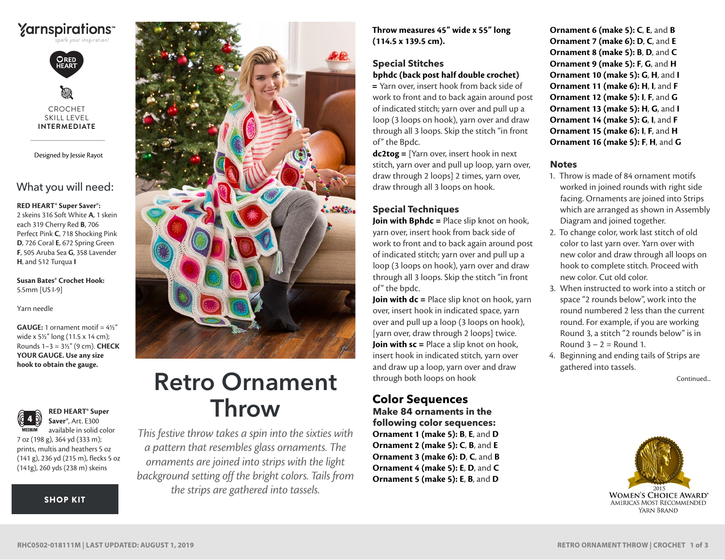## **Yarnspirations**



CROCHET SKILL LEVEL **INTERMEDIATE**

Designed by Jessie Rayot

## What you will need:

#### **RED HEART® Super Saver®:**

2 skeins 316 Soft White **A**, 1 skein each 319 Cherry Red **B**, 706 Perfect Pink **C**, 718 Shocking Pink **D**, 726 Coral **E**, 672 Spring Green **F**, 505 Aruba Sea **G**, 358 Lavender **H**, and 512 Turqua **I**

**Susan Bates® Crochet Hook:**  5.5mm [US I-9]

Yarn needle

**GAUGE:** 1 ornament motif = 4½" wide x 5½" long (11.5 x 14 cm); Rounds 1–3 = 3½" (9 cm). **CHECK YOUR GAUGE. Use any size hook to obtain the gauge.**



**RED HEART® Super Saver®**, Art. E300 available in solid color

7 oz (198 g), 364 yd (333 m); prints, multis and heathers 5 oz (141 g), 236 yd (215 m), flecks 5 oz (141g), 260 yds (238 m) skeins

[SHOP KIT](https://www.yarnspirations.com/red-heart-retro-ornament-throw/RHC0502-018111M.html#utm_source=pdf-yarnspirations&utm_medium=referral&utm_campaign=pdf-RHC0502-018111M)



# Retro Ornament through both loops on hook continued... Throw

*This festive throw takes a spin into the sixties with a pattern that resembles glass ornaments. The ornaments are joined into strips with the light background setting off the bright colors. Tails from the strips are gathered into tassels.*

**Throw measures 45" wide x 55" long (114.5 x 139.5 cm).**

## **Special Stitches bphdc (back post half double crochet)**

**=** Yarn over, insert hook from back side of work to front and to back again around post of indicated stitch; yarn over and pull up a loop (3 loops on hook), yarn over and draw through all 3 loops. Skip the stitch "in front of" the Bpdc.

**dc2tog =** [Yarn over, insert hook in next stitch, yarn over and pull up loop, yarn over, draw through 2 loops] 2 times, yarn over, draw through all 3 loops on hook.

## **Special Techniques**

**Join with Bphdc =** Place slip knot on hook, yarn over, insert hook from back side of work to front and to back again around post of indicated stitch; yarn over and pull up a loop (3 loops on hook), yarn over and draw through all 3 loops. Skip the stitch "in front of" the bpdc.

**Join with dc =** Place slip knot on hook, yarn over, insert hook in indicated space, yarn over and pull up a loop (3 loops on hook), [yarn over, draw through 2 loops] twice. **Join with sc** = Place a slip knot on hook, insert hook in indicated stitch, yarn over and draw up a loop, yarn over and draw through both loops on hook

## **Color Sequences Make 84 ornaments in the**

**following color sequences: Ornament 1 (make 5): B**, **E**, and **D Ornament 2 (make 5): C**, **B**, and **E Ornament 3 (make 6): D**, **C**, and **B Ornament 4 (make 5): E**, **D**, and **C Ornament 5 (make 5): E**, **B**, and **D**

**Ornament 6 (make 5): C**, **E**, and **B Ornament 7 (make 6): D**, **C**, and **E Ornament 8 (make 5): B**, **D**, and **C Ornament 9 (make 5): F**, **G**, and **H Ornament 10 (make 5): G**, **H**, and **I Ornament 11 (make 6): H**, **I**, and **F Ornament 12 (make 5): I**, **F**, and **G Ornament 13 (make 5): H**, **G**, and **I Ornament 14 (make 5): G**, **I**, and **F Ornament 15 (make 6): I**, **F**, and **H Ornament 16 (make 5): F**, **H**, and **G**

#### **Notes**

- 1. Throw is made of 84 ornament motifs worked in joined rounds with right side facing. Ornaments are joined into Strips which are arranged as shown in Assembly Diagram and joined together.
- 2. To change color, work last stitch of old color to last yarn over. Yarn over with new color and draw through all loops on hook to complete stitch. Proceed with new color. Cut old color.
- 3. When instructed to work into a stitch or space "2 rounds below", work into the round numbered 2 less than the current round. For example, if you are working Round 3, a stitch "2 rounds below" is in Round  $3 - 2 =$  Round 1.
- 4. Beginning and ending tails of Strips are gathered into tassels.

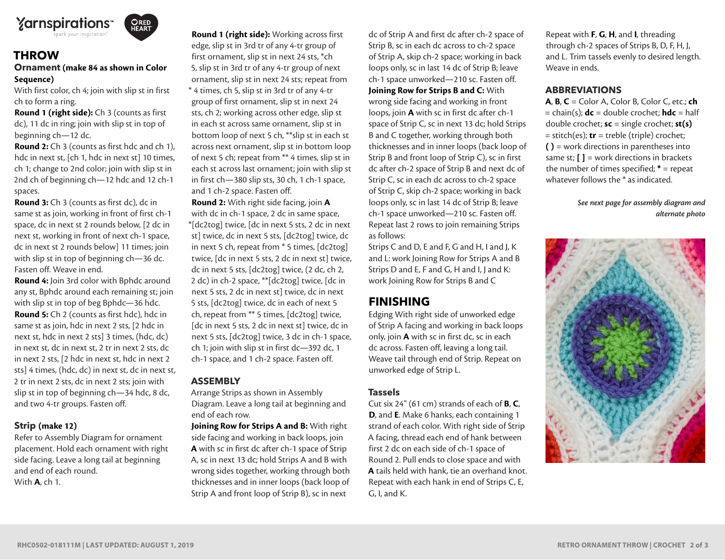

## **THROW**

### **Ornament (make 84 as shown in Color Sequence)**

With first color, ch 4; join with slip st in first ch to form a ring.

**Round 1 (right side):** Ch 3 (counts as first dc), 11 dc in ring; join with slip st in top of beginning ch—12 dc.

**Round 2:** Ch 3 (counts as first hdc and ch 1), hdc in next st, [ch 1, hdc in next st] 10 times, ch 1; change to 2nd color; join with slip st in 2nd ch of beginning ch—12 hdc and 12 ch-1 spaces.

**Round 3:** Ch 3 (counts as first dc), dc in same st as join, working in front of first ch-1 space, dc in next st 2 rounds below, [2 dc in next st, working in front of next ch-1 space, dc in next st 2 rounds below] 11 times; join with slip st in top of beginning ch—36 dc. Fasten off. Weave in end.

**Round 4:** Join 3rd color with Bphdc around any st, Bphdc around each remaining st; join with slip st in top of beg Bphdc—36 hdc. **Round 5:** Ch 2 (counts as first hdc), hdc in same st as join, hdc in next 2 sts, [2 hdc in next st, hdc in next 2 sts] 3 times, (hdc, dc) in next st, dc in next st, 2 tr in next 2 sts, dc in next 2 sts, [2 hdc in next st, hdc in next 2 sts] 4 times, (hdc, dc) in next st, dc in next st, 2 tr in next 2 sts, dc in next 2 sts; join with slip st in top of beginning ch—34 hdc, 8 dc, and two 4-tr groups. Fasten off.

#### **Strip (make 12)**

Refer to Assembly Diagram for ornament placement. Hold each ornament with right side facing. Leave a long tail at beginning and end of each round. With **A**, ch 1.

**Round 1 (right side):** Working across first edge, slip st in 3rd tr of any 4-tr group of first ornament, slip st in next 24 sts, \*ch 5, slip st in 3rd tr of any 4-tr group of next ornament, slip st in next 24 sts; repeat from \* 4 times, ch 5, slip st in 3rd tr of any 4-tr group of first ornament, slip st in next 24 sts, ch 2; working across other edge, slip st in each st across same ornament, slip st in

bottom loop of next 5 ch, \*\*slip st in each st across next ornament, slip st in bottom loop of next 5 ch; repeat from \*\* 4 times, slip st in each st across last ornament; join with slip st in first ch—380 slip sts, 30 ch, 1 ch-1 space, and 1 ch-2 space. Fasten off.

**Round 2:** With right side facing, join **A** with dc in ch-1 space, 2 dc in same space, \*[dc2tog] twice, [dc in next 5 sts, 2 dc in next st] twice, dc in next 5 sts, [dc2tog] twice, dc in next 5 ch, repeat from \* 5 times, [dc2tog] twice, [dc in next 5 sts, 2 dc in next st] twice, dc in next 5 sts, [dc2tog] twice, (2 dc, ch 2, 2 dc) in ch-2 space, \*\*[dc2tog] twice, [dc in next 5 sts, 2 dc in next st] twice, dc in next 5 sts, [dc2tog] twice, dc in each of next 5 ch, repeat from \*\* 5 times, [dc2tog] twice, [dc in next 5 sts, 2 dc in next st] twice, dc in next 5 sts, [dc2tog] twice, 3 dc in ch-1 space, ch 1; join with slip st in first dc—392 dc, 1 ch-1 space, and 1 ch-2 space. Fasten off.

#### **ASSEMBLY**

Arrange Strips as shown in Assembly Diagram. Leave a long tail at beginning and end of each row.

**Joining Row for Strips A and B:** With right side facing and working in back loops, join **A** with sc in first dc after ch-1 space of Strip A, sc in next 13 dc; hold Strips A and B with wrong sides together, working through both thicknesses and in inner loops (back loop of Strip A and front loop of Strip B), sc in next

dc of Strip A and first dc after ch-2 space of Strip B, sc in each dc across to ch-2 space of Strip A, skip ch-2 space; working in back loops only, sc in last 14 dc of Strip B; leave ch-1 space unworked—210 sc. Fasten off. **Joining Row for Strips B and C:** With wrong side facing and working in front loops, join **A** with sc in first dc after ch-1 space of Strip C, sc in next 13 dc; hold Strips B and C together, working through both thicknesses and in inner loops (back loop of Strip B and front loop of Strip C), sc in first dc after ch-2 space of Strip B and next dc of Strip C, sc in each dc across to ch-2 space of Strip C, skip ch-2 space; working in back loops only, sc in last 14 dc of Strip B; leave ch-1 space unworked—210 sc. Fasten off. Repeat last 2 rows to join remaining Strips as follows:

Strips C and D, E and F, G and H, I and J, K and L: work Joining Row for Strips A and B Strips D and E, F and G, H and I, J and K: work Joining Row for Strips B and C

## **FINISHING**

Edging With right side of unworked edge of Strip A facing and working in back loops only, join **A** with sc in first dc, sc in each dc across. Fasten off, leaving a long tail. Weave tail through end of Strip. Repeat on unworked edge of Strip L.

#### **Tassels**

Cut six 24" (61 cm) strands of each of **B**, **C**, **D**, and **E**. Make 6 hanks, each containing 1 strand of each color. With right side of Strip A facing, thread each end of hank between first 2 dc on each side of ch-1 space of Round 2. Pull ends to close space and with **A** tails held with hank, tie an overhand knot. Repeat with each hank in end of Strips C, E, G, I, and K.

Repeat with **F**, **G**, **H**, and **I**, threading through ch-2 spaces of Strips B, D, F, H, J, and L. Trim tassels evenly to desired length. Weave in ends.

#### **ABBREVIATIONS**

**A**, **B**, **C** = Color A, Color B, Color C, etc.; **ch** = chain(s); **dc** = double crochet; **hdc** = half double crochet; **sc** = single crochet; **st(s)** = stitch(es); **tr** = treble (triple) crochet; **( )** = work directions in parentheses into same st;  $[]$  = work directions in brackets the number of times specified; **\*** = repeat whatever follows the \* as indicated.

> *See next page for assembly diagram and alternate photo*